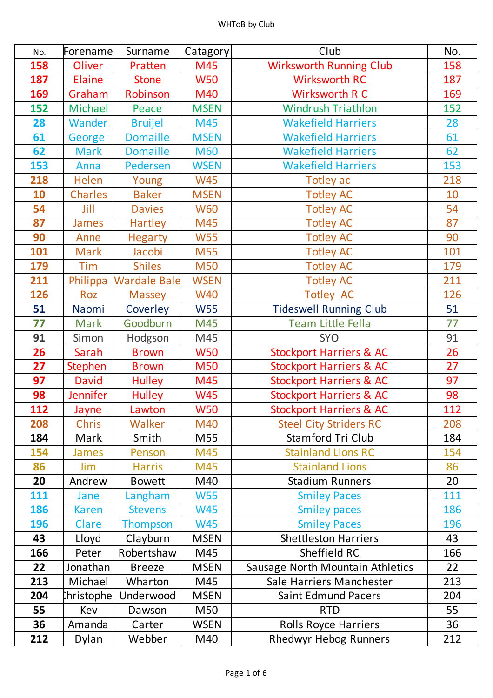| No.        | Forename       | Surname             | Catagory    | Club                               | No. |
|------------|----------------|---------------------|-------------|------------------------------------|-----|
| 158        | Oliver         | Pratten             | M45         | <b>Wirksworth Running Club</b>     | 158 |
| 187        | <b>Elaine</b>  | <b>Stone</b>        | <b>W50</b>  | <b>Wirksworth RC</b>               | 187 |
| 169        | Graham         | Robinson            | M40         | Wirksworth R C                     | 169 |
| 152        | Michael        | Peace               | <b>MSEN</b> | <b>Windrush Triathlon</b>          | 152 |
| 28         | Wander         | <b>Bruijel</b>      | M45         | <b>Wakefield Harriers</b>          | 28  |
| 61         | George         | <b>Domaille</b>     | <b>MSEN</b> | <b>Wakefield Harriers</b>          | 61  |
| 62         | <b>Mark</b>    | <b>Domaille</b>     | <b>M60</b>  | <b>Wakefield Harriers</b>          | 62  |
| 153        | Anna           | Pedersen            | <b>WSEN</b> | <b>Wakefield Harriers</b>          | 153 |
| 218        | Helen          | Young               | <b>W45</b>  | <b>Totley ac</b>                   | 218 |
| 10         | <b>Charles</b> | <b>Baker</b>        | <b>MSEN</b> | <b>Totley AC</b>                   | 10  |
| 54         | Jill           | <b>Davies</b>       | <b>W60</b>  | <b>Totley AC</b>                   | 54  |
| 87         | James          | Hartley             | M45         | <b>Totley AC</b>                   | 87  |
| 90         | Anne           | <b>Hegarty</b>      | <b>W55</b>  | <b>Totley AC</b>                   | 90  |
| 101        | <b>Mark</b>    | Jacobi              | M55         | <b>Totley AC</b>                   | 101 |
| 179        | <b>Tim</b>     | <b>Shiles</b>       | <b>M50</b>  | <b>Totley AC</b>                   | 179 |
| 211        | Philippa       | <b>Wardale Bale</b> | <b>WSEN</b> | <b>Totley AC</b>                   | 211 |
| 126        | Roz            | Massey              | <b>W40</b>  | <b>Totley AC</b>                   | 126 |
| 51         | Naomi          | Coverley            | <b>W55</b>  | <b>Tideswell Running Club</b>      | 51  |
| 77         | <b>Mark</b>    | Goodburn            | M45         | <b>Team Little Fella</b>           | 77  |
| 91         | Simon          | Hodgson             | M45         | <b>SYO</b>                         | 91  |
| 26         | Sarah          | <b>Brown</b>        | <b>W50</b>  | <b>Stockport Harriers &amp; AC</b> | 26  |
| 27         | <b>Stephen</b> | <b>Brown</b>        | <b>M50</b>  | <b>Stockport Harriers &amp; AC</b> | 27  |
| 97         | <b>David</b>   | <b>Hulley</b>       | M45         | <b>Stockport Harriers &amp; AC</b> | 97  |
| 98         | Jennifer       | <b>Hulley</b>       | <b>W45</b>  | <b>Stockport Harriers &amp; AC</b> | 98  |
| 112        | Jayne          | Lawton              | <b>W50</b>  | <b>Stockport Harriers &amp; AC</b> | 112 |
| 208        | Chris          | Walker              | M40         | <b>Steel City Striders RC</b>      | 208 |
| 184        | Mark           | Smith               | M55         | Stamford Tri Club                  | 184 |
| 154        | James          | Penson              | M45         | <b>Stainland Lions RC</b>          | 154 |
| 86         | Jim            | <b>Harris</b>       | M45         | <b>Stainland Lions</b>             | 86  |
| 20         | Andrew         | <b>Bowett</b>       | M40         | <b>Stadium Runners</b>             | 20  |
| 111        | Jane           | Langham             | <b>W55</b>  | <b>Smiley Paces</b>                | 111 |
| 186        | <b>Karen</b>   | <b>Stevens</b>      | <b>W45</b>  | <b>Smiley paces</b>                | 186 |
| <b>196</b> | <b>Clare</b>   | <b>Thompson</b>     | <b>W45</b>  | <b>Smiley Paces</b>                | 196 |
| 43         | Lloyd          | Clayburn            | <b>MSEN</b> | <b>Shettleston Harriers</b>        | 43  |
| 166        | Peter          | Robertshaw          | M45         | Sheffield RC                       | 166 |
| 22         | Jonathan       | <b>Breeze</b>       | <b>MSEN</b> | Sausage North Mountain Athletics   | 22  |
| 213        | Michael        | Wharton             | M45         | Sale Harriers Manchester           | 213 |
| 204        | hristophe      | Underwood           | <b>MSEN</b> | <b>Saint Edmund Pacers</b>         | 204 |
| 55         | Kev            | Dawson              | M50         | <b>RTD</b>                         | 55  |
| 36         | Amanda         | Carter              | <b>WSEN</b> | <b>Rolls Royce Harriers</b>        | 36  |
| 212        | Dylan          | Webber              | M40         | <b>Rhedwyr Hebog Runners</b>       | 212 |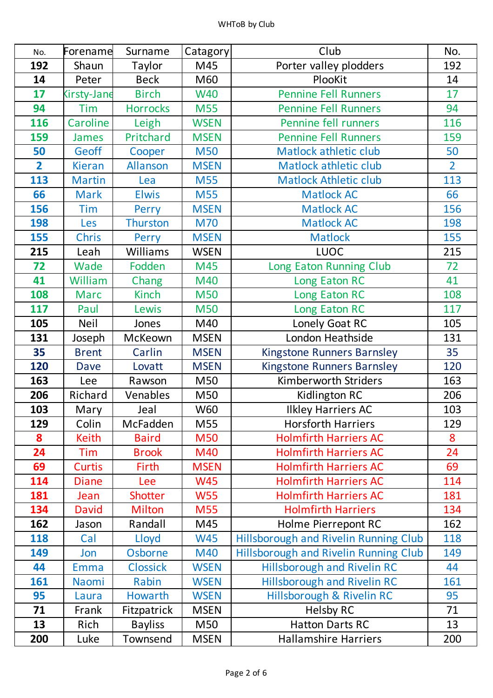| No.            | Forename           | Surname         | Catagory    | Club                                         | No.            |
|----------------|--------------------|-----------------|-------------|----------------------------------------------|----------------|
| 192            | Shaun              | Taylor          | M45         | Porter valley plodders                       | 192            |
| 14             | Peter              | <b>Beck</b>     | M60         | PlooKit                                      | 14             |
| 17             | <b>Kirsty-Jane</b> | <b>Birch</b>    | <b>W40</b>  | <b>Pennine Fell Runners</b>                  | 17             |
| 94             | Tim                | <b>Horrocks</b> | <b>M55</b>  | <b>Pennine Fell Runners</b>                  | 94             |
| 116            | Caroline           | Leigh           | <b>WSEN</b> | Pennine fell runners                         | 116            |
| 159            | <b>James</b>       | Pritchard       | <b>MSEN</b> | <b>Pennine Fell Runners</b>                  | 159            |
| 50             | Geoff              | Cooper          | <b>M50</b>  | <b>Matlock athletic club</b>                 | 50             |
| $\overline{2}$ | <b>Kieran</b>      | Allanson        | <b>MSEN</b> | <b>Matlock athletic club</b>                 | $\overline{2}$ |
| 113            | <b>Martin</b>      | Lea             | <b>M55</b>  | <b>Matlock Athletic club</b>                 | 113            |
| 66             | <b>Mark</b>        | <b>Elwis</b>    | <b>M55</b>  | <b>Matlock AC</b>                            | 66             |
| 156            | Tim                | Perry           | <b>MSEN</b> | <b>Matlock AC</b>                            | 156            |
| 198            | Les                | <b>Thurston</b> | <b>M70</b>  | <b>Matlock AC</b>                            | 198            |
| 155            | <b>Chris</b>       | Perry           | <b>MSEN</b> | <b>Matlock</b>                               | 155            |
| 215            | Leah               | Williams        | <b>WSEN</b> | <b>LUOC</b>                                  | 215            |
| 72             | Wade               | Fodden          | M45         | Long Eaton Running Club                      | 72             |
| 41             | William            | Chang           | M40         | Long Eaton RC                                | 41             |
| 108            | <b>Marc</b>        | Kinch           | <b>M50</b>  | Long Eaton RC                                | 108            |
| 117            | Paul               | Lewis           | <b>M50</b>  | Long Eaton RC                                | 117            |
| 105            | <b>Neil</b>        | Jones           | M40         | Lonely Goat RC                               | 105            |
| 131            | Joseph             | McKeown         | <b>MSEN</b> | London Heathside                             | 131            |
| 35             | <b>Brent</b>       | Carlin          | <b>MSEN</b> | <b>Kingstone Runners Barnsley</b>            | 35             |
| 120            | <b>Dave</b>        | Lovatt          | <b>MSEN</b> | <b>Kingstone Runners Barnsley</b>            | 120            |
| 163            | Lee                | Rawson          | M50         | Kimberworth Striders                         | 163            |
| 206            | Richard            | Venables        | M50         | Kidlington RC                                | 206            |
| 103            | Mary               | Jeal            | W60         | <b>Ilkley Harriers AC</b>                    | 103            |
| 129            | Colin              | McFadden        | M55         | <b>Horsforth Harriers</b>                    | 129            |
| 8              | <b>Keith</b>       | <b>Baird</b>    | <b>M50</b>  | <b>Holmfirth Harriers AC</b>                 | 8              |
| 24             | Tim                | <b>Brook</b>    | M40         | <b>Holmfirth Harriers AC</b>                 | 24             |
| 69             | <b>Curtis</b>      | Firth           | <b>MSEN</b> | <b>Holmfirth Harriers AC</b>                 | 69             |
| 114            | <b>Diane</b>       | Lee             | <b>W45</b>  | <b>Holmfirth Harriers AC</b>                 | 114            |
| 181            | Jean               | <b>Shotter</b>  | <b>W55</b>  | <b>Holmfirth Harriers AC</b>                 | 181            |
| 134            | <b>David</b>       | <b>Milton</b>   | <b>M55</b>  | <b>Holmfirth Harriers</b>                    | 134            |
| 162            | Jason              | Randall         | M45         | Holme Pierrepont RC                          | 162            |
| 118            | Cal                | Lloyd           | <b>W45</b>  | <b>Hillsborough and Rivelin Running Club</b> | 118            |
| 149            | Jon                | Osborne         | M40         | <b>Hillsborough and Rivelin Running Club</b> | 149            |
| 44             | <b>Emma</b>        | <b>Clossick</b> | <b>WSEN</b> | <b>Hillsborough and Rivelin RC</b>           | 44             |
| 161            | Naomi              | Rabin           | <b>WSEN</b> | <b>Hillsborough and Rivelin RC</b>           | 161            |
| 95             | Laura              | Howarth         | <b>WSEN</b> | Hillsborough & Rivelin RC                    | 95             |
| 71             | Frank              | Fitzpatrick     | <b>MSEN</b> | <b>Helsby RC</b>                             | 71             |
| 13             | Rich               | <b>Bayliss</b>  | M50         | <b>Hatton Darts RC</b>                       | 13             |
| 200            | Luke               | Townsend        | <b>MSEN</b> | <b>Hallamshire Harriers</b>                  | 200            |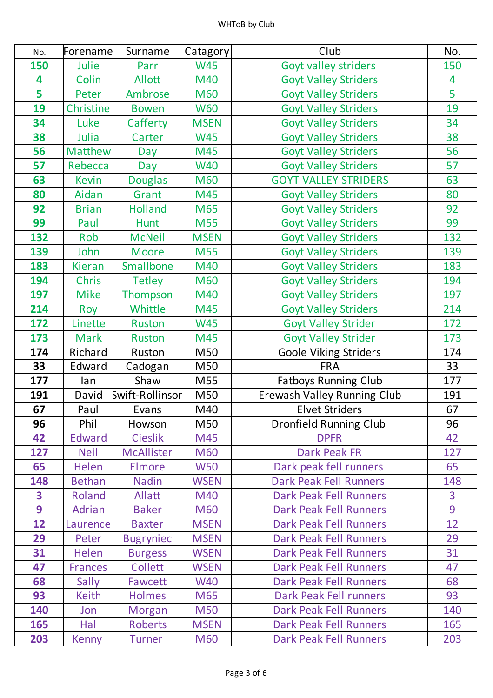| No.                     | Forename       | Surname           | Catagory    | Club                          | No. |
|-------------------------|----------------|-------------------|-------------|-------------------------------|-----|
| 150                     | Julie          | Parr              | <b>W45</b>  | <b>Goyt valley striders</b>   | 150 |
| 4                       | Colin          | <b>Allott</b>     | M40         | <b>Goyt Valley Striders</b>   | 4   |
| 5                       | Peter          | Ambrose           | <b>M60</b>  | <b>Goyt Valley Striders</b>   | 5   |
| 19                      | Christine      | <b>Bowen</b>      | <b>W60</b>  | <b>Goyt Valley Striders</b>   | 19  |
| 34                      | Luke           | Cafferty          | <b>MSEN</b> | <b>Goyt Valley Striders</b>   | 34  |
| 38                      | Julia          | Carter            | <b>W45</b>  | <b>Goyt Valley Striders</b>   | 38  |
| 56                      | <b>Matthew</b> | Day               | M45         | <b>Goyt Valley Striders</b>   | 56  |
| 57                      | Rebecca        | Day               | <b>W40</b>  | <b>Goyt Valley Striders</b>   | 57  |
| 63                      | <b>Kevin</b>   | <b>Douglas</b>    | <b>M60</b>  | <b>GOYT VALLEY STRIDERS</b>   | 63  |
| 80                      | Aidan          | Grant             | M45         | <b>Goyt Valley Striders</b>   | 80  |
| 92                      | <b>Brian</b>   | <b>Holland</b>    | M65         | <b>Goyt Valley Striders</b>   | 92  |
| 99                      | Paul           | <b>Hunt</b>       | <b>M55</b>  | <b>Goyt Valley Striders</b>   | 99  |
| 132                     | Rob            | <b>McNeil</b>     | <b>MSEN</b> | <b>Goyt Valley Striders</b>   | 132 |
| 139                     | John           | <b>Moore</b>      | <b>M55</b>  | <b>Goyt Valley Striders</b>   | 139 |
| 183                     | <b>Kieran</b>  | Smallbone         | M40         | <b>Goyt Valley Striders</b>   | 183 |
| 194                     | <b>Chris</b>   | <b>Tetley</b>     | <b>M60</b>  | <b>Goyt Valley Striders</b>   | 194 |
| 197                     | <b>Mike</b>    | Thompson          | M40         | <b>Goyt Valley Striders</b>   | 197 |
| 214                     | Roy            | Whittle           | M45         | <b>Goyt Valley Striders</b>   | 214 |
| 172                     | Linette        | <b>Ruston</b>     | <b>W45</b>  | <b>Goyt Valley Strider</b>    | 172 |
| 173                     | <b>Mark</b>    | <b>Ruston</b>     | M45         | <b>Goyt Valley Strider</b>    | 173 |
| 174                     | Richard        | Ruston            | M50         | <b>Goole Viking Striders</b>  | 174 |
| 33                      | Edward         | Cadogan           | M50         | <b>FRA</b>                    | 33  |
| 177                     | lan            | Shaw              | M55         | <b>Fatboys Running Club</b>   | 177 |
| 191                     | David          | Swift-Rollinsor   | M50         | Erewash Valley Running Club   | 191 |
| 67                      | Paul           | Evans             | M40         | <b>Elvet Striders</b>         | 67  |
| 96                      | Phil           | Howson            | M50         | <b>Dronfield Running Club</b> | 96  |
| 42                      | <b>Edward</b>  | <b>Cieslik</b>    | M45         | <b>DPFR</b>                   | 42  |
| 127                     | <b>Neil</b>    | <b>McAllister</b> | <b>M60</b>  | <b>Dark Peak FR</b>           | 127 |
| 65                      | <b>Helen</b>   | Elmore            | <b>W50</b>  | Dark peak fell runners        | 65  |
| 148                     | <b>Bethan</b>  | <b>Nadin</b>      | <b>WSEN</b> | <b>Dark Peak Fell Runners</b> | 148 |
| $\overline{\mathbf{3}}$ | Roland         | <b>Allatt</b>     | M40         | <b>Dark Peak Fell Runners</b> | 3   |
| 9                       | Adrian         | <b>Baker</b>      | <b>M60</b>  | <b>Dark Peak Fell Runners</b> | 9   |
| 12                      | Laurence       | <b>Baxter</b>     | <b>MSEN</b> | <b>Dark Peak Fell Runners</b> | 12  |
| 29                      | Peter          | <b>Bugryniec</b>  | <b>MSEN</b> | <b>Dark Peak Fell Runners</b> | 29  |
| 31                      | <b>Helen</b>   | <b>Burgess</b>    | <b>WSEN</b> | Dark Peak Fell Runners        | 31  |
| 47                      | <b>Frances</b> | <b>Collett</b>    | <b>WSEN</b> | <b>Dark Peak Fell Runners</b> | 47  |
| 68                      | Sally          | Fawcett           | <b>W40</b>  | <b>Dark Peak Fell Runners</b> | 68  |
| 93                      | <b>Keith</b>   | Holmes            | M65         | Dark Peak Fell runners        | 93  |
| 140                     | Jon            | Morgan            | <b>M50</b>  | <b>Dark Peak Fell Runners</b> | 140 |
| 165                     | Hal            | <b>Roberts</b>    | <b>MSEN</b> | <b>Dark Peak Fell Runners</b> | 165 |
| 203                     | <b>Kenny</b>   | <b>Turner</b>     | <b>M60</b>  | <b>Dark Peak Fell Runners</b> | 203 |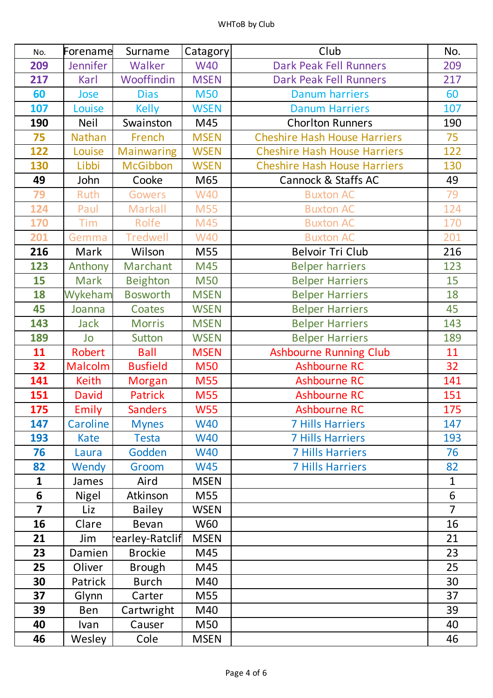| No.                     | Forename     | Surname           | Catagory    | Club                                | No.            |
|-------------------------|--------------|-------------------|-------------|-------------------------------------|----------------|
| 209                     | Jennifer     | Walker            | <b>W40</b>  | <b>Dark Peak Fell Runners</b>       | 209            |
| 217                     | Karl         | Wooffindin        | <b>MSEN</b> | <b>Dark Peak Fell Runners</b>       | 217            |
| 60                      | Jose         | <b>Dias</b>       | <b>M50</b>  | <b>Danum harriers</b>               | 60             |
| 107                     | Louise       | <b>Kelly</b>      | <b>WSEN</b> | <b>Danum Harriers</b>               | 107            |
| 190                     | <b>Neil</b>  | Swainston         | M45         | <b>Chorlton Runners</b>             | 190            |
| 75                      | Nathan       | French            | <b>MSEN</b> | <b>Cheshire Hash House Harriers</b> | 75             |
| 122                     | Louise       | <b>Mainwaring</b> | <b>WSEN</b> | <b>Cheshire Hash House Harriers</b> | 122            |
| 130                     | Libbi        | <b>McGibbon</b>   | <b>WSEN</b> | <b>Cheshire Hash House Harriers</b> | 130            |
| 49                      | John         | Cooke             | M65         | Cannock & Staffs AC                 | 49             |
| 79                      | Ruth         | <b>Gowers</b>     | <b>W40</b>  | <b>Buxton AC</b>                    | 79             |
| 124                     | Paul         | Markall           | <b>M55</b>  | <b>Buxton AC</b>                    | 124            |
| 170                     | <b>Tim</b>   | Rolfe             | M45         | <b>Buxton AC</b>                    | 170            |
| 201                     | Gemma        | <b>Tredwell</b>   | <b>W40</b>  | <b>Buxton AC</b>                    | 201            |
| 216                     | Mark         | Wilson            | M55         | <b>Belvoir Tri Club</b>             | 216            |
| 123                     | Anthony      | Marchant          | M45         | <b>Belper harriers</b>              | 123            |
| 15                      | <b>Mark</b>  | <b>Beighton</b>   | <b>M50</b>  | <b>Belper Harriers</b>              | 15             |
| 18                      | Wykeham      | <b>Bosworth</b>   | <b>MSEN</b> | <b>Belper Harriers</b>              | 18             |
| 45                      | Joanna       | Coates            | <b>WSEN</b> | <b>Belper Harriers</b>              | 45             |
| 143                     | <b>Jack</b>  | <b>Morris</b>     | <b>MSEN</b> | <b>Belper Harriers</b>              | 143            |
| 189                     | Jo           | <b>Sutton</b>     | <b>WSEN</b> | <b>Belper Harriers</b>              | 189            |
| 11                      | Robert       | <b>Ball</b>       | <b>MSEN</b> | <b>Ashbourne Running Club</b>       | 11             |
| 32                      | Malcolm      | <b>Busfield</b>   | <b>M50</b>  | Ashbourne RC                        | 32             |
| 141                     | <b>Keith</b> | <b>Morgan</b>     | <b>M55</b>  | <b>Ashbourne RC</b>                 | 141            |
| 151                     | <b>David</b> | <b>Patrick</b>    | <b>M55</b>  | <b>Ashbourne RC</b>                 | 151            |
| 175                     | Emily        | <b>Sanders</b>    | <b>W55</b>  | <b>Ashbourne RC</b>                 | 175            |
| 147                     | Caroline     | <b>Mynes</b>      | <b>W40</b>  | <b>7 Hills Harriers</b>             | 147            |
| 193                     | Kate         | <b>Testa</b>      | <b>W40</b>  | <b>7 Hills Harriers</b>             | 193            |
| 76                      | Laura        | Godden            | <b>W40</b>  | <b>7 Hills Harriers</b>             | 76             |
| 82                      | Wendy        | Groom             | <b>W45</b>  | <b>7 Hills Harriers</b>             | 82             |
| $\mathbf{1}$            | James        | Aird              | <b>MSEN</b> |                                     | $\mathbf{1}$   |
| $6\phantom{1}$          | Nigel        | Atkinson          | M55         |                                     | 6              |
| $\overline{\mathbf{z}}$ | Liz          | <b>Bailey</b>     | <b>WSEN</b> |                                     | $\overline{7}$ |
| 16                      | Clare        | <b>Bevan</b>      | <b>W60</b>  |                                     | 16             |
| 21                      | Jim          | earley-Ratclif    | <b>MSEN</b> |                                     | 21             |
| 23                      | Damien       | <b>Brockie</b>    | M45         |                                     | 23             |
| 25                      | Oliver       | <b>Brough</b>     | M45         |                                     | 25             |
| 30                      | Patrick      | <b>Burch</b>      | M40         |                                     | 30             |
| 37                      | Glynn        | Carter            | M55         |                                     | 37             |
| 39                      | Ben          | Cartwright        | M40         |                                     | 39             |
| 40                      | Ivan         | Causer            | M50         |                                     | 40             |
| 46                      | Wesley       | Cole              | <b>MSEN</b> |                                     | 46             |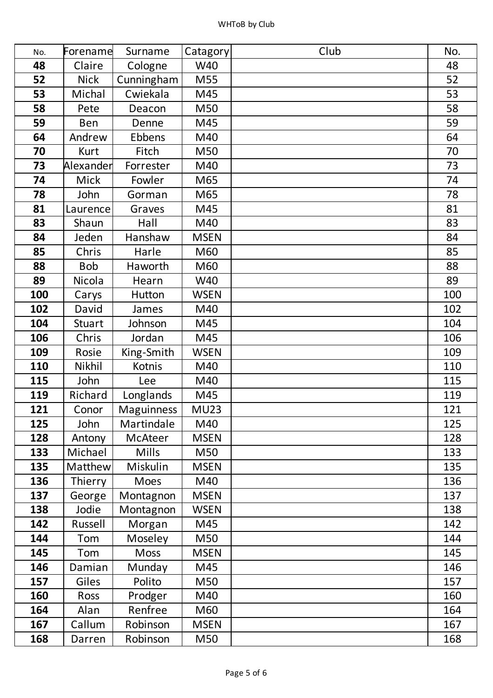| No. | Forename      | Surname           | Catagory    | Club | No. |
|-----|---------------|-------------------|-------------|------|-----|
| 48  | Claire        | Cologne           | W40         |      | 48  |
| 52  | <b>Nick</b>   | Cunningham        | M55         |      | 52  |
| 53  | Michal        | Cwiekala          | M45         |      | 53  |
| 58  | Pete          | Deacon            | M50         |      | 58  |
| 59  | <b>Ben</b>    | Denne             | M45         |      | 59  |
| 64  | Andrew        | Ebbens            | M40         |      | 64  |
| 70  | <b>Kurt</b>   | Fitch             | M50         |      | 70  |
| 73  | Alexander     | Forrester         | M40         |      | 73  |
| 74  | <b>Mick</b>   | Fowler            | M65         |      | 74  |
| 78  | John          | Gorman            | M65         |      | 78  |
| 81  | Laurence      | Graves            | M45         |      | 81  |
| 83  | Shaun         | Hall              | M40         |      | 83  |
| 84  | Jeden         | Hanshaw           | <b>MSEN</b> |      | 84  |
| 85  | Chris         | Harle             | M60         |      | 85  |
| 88  | <b>Bob</b>    | Haworth           | M60         |      | 88  |
| 89  | Nicola        | Hearn             | W40         |      | 89  |
| 100 | Carys         | Hutton            | <b>WSEN</b> |      | 100 |
| 102 | David         | James             | M40         |      | 102 |
| 104 | <b>Stuart</b> | Johnson           | M45         |      | 104 |
| 106 | Chris         | Jordan            | M45         |      | 106 |
| 109 | Rosie         | King-Smith        | <b>WSEN</b> |      | 109 |
| 110 | Nikhil        | Kotnis            | M40         |      | 110 |
| 115 | John          | Lee               | M40         |      | 115 |
| 119 | Richard       | Longlands         | M45         |      | 119 |
| 121 | Conor         | <b>Maguinness</b> | <b>MU23</b> |      | 121 |
| 125 | John          | Martindale        | M40         |      | 125 |
| 128 | Antony        | <b>McAteer</b>    | <b>MSEN</b> |      | 128 |
| 133 | Michael       | <b>Mills</b>      | M50         |      | 133 |
| 135 | Matthew       | Miskulin          | <b>MSEN</b> |      | 135 |
| 136 | Thierry       | Moes              | M40         |      | 136 |
| 137 | George        | Montagnon         | <b>MSEN</b> |      | 137 |
| 138 | Jodie         | Montagnon         | <b>WSEN</b> |      | 138 |
| 142 | Russell       | Morgan            | M45         |      | 142 |
| 144 | Tom           | Moseley           | M50         |      | 144 |
| 145 | Tom           | <b>Moss</b>       | <b>MSEN</b> |      | 145 |
| 146 | Damian        | Munday            | M45         |      | 146 |
| 157 | Giles         | Polito            | M50         |      | 157 |
| 160 | Ross          | Prodger           | M40         |      | 160 |
| 164 | Alan          | Renfree           | M60         |      | 164 |
| 167 | Callum        | Robinson          | <b>MSEN</b> |      | 167 |
| 168 | Darren        | Robinson          | M50         |      | 168 |